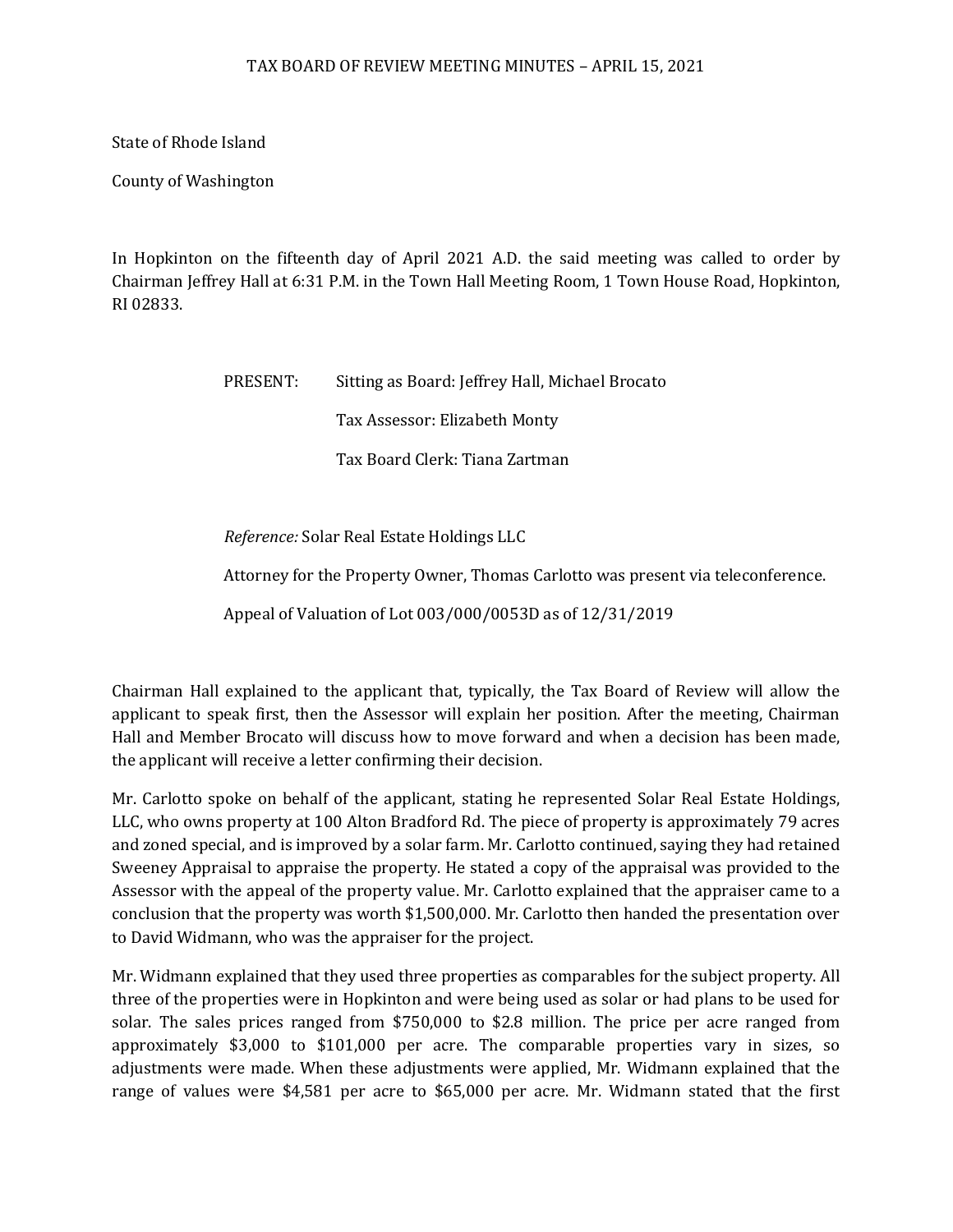## TAX BOARD OF REVIEW MEETING MINUTES – APRIL 15, 2021

State of Rhode Island

County of Washington

In Hopkinton on the fifteenth day of April 2021 A.D. the said meeting was called to order by Chairman Jeffrey Hall at 6:31 P.M. in the Town Hall Meeting Room, 1 Town House Road, Hopkinton, RI 02833.

> PRESENT: Sitting as Board: Jeffrey Hall, Michael Brocato Tax Assessor: Elizabeth Monty Tax Board Clerk: Tiana Zartman

*Reference:* Solar Real Estate Holdings LLC

Attorney for the Property Owner, Thomas Carlotto was present via teleconference.

Appeal of Valuation of Lot 003/000/0053D as of 12/31/2019

Chairman Hall explained to the applicant that, typically, the Tax Board of Review will allow the applicant to speak first, then the Assessor will explain her position. After the meeting, Chairman Hall and Member Brocato will discuss how to move forward and when a decision has been made, the applicant will receive a letter confirming their decision.

Mr. Carlotto spoke on behalf of the applicant, stating he represented Solar Real Estate Holdings, LLC, who owns property at 100 Alton Bradford Rd. The piece of property is approximately 79 acres and zoned special, and is improved by a solar farm. Mr. Carlotto continued, saying they had retained Sweeney Appraisal to appraise the property. He stated a copy of the appraisal was provided to the Assessor with the appeal of the property value. Mr. Carlotto explained that the appraiser came to a conclusion that the property was worth \$1,500,000. Mr. Carlotto then handed the presentation over to David Widmann, who was the appraiser for the project.

Mr. Widmann explained that they used three properties as comparables for the subject property. All three of the properties were in Hopkinton and were being used as solar or had plans to be used for solar. The sales prices ranged from \$750,000 to \$2.8 million. The price per acre ranged from approximately \$3,000 to \$101,000 per acre. The comparable properties vary in sizes, so adjustments were made. When these adjustments were applied, Mr. Widmann explained that the range of values were \$4,581 per acre to \$65,000 per acre. Mr. Widmann stated that the first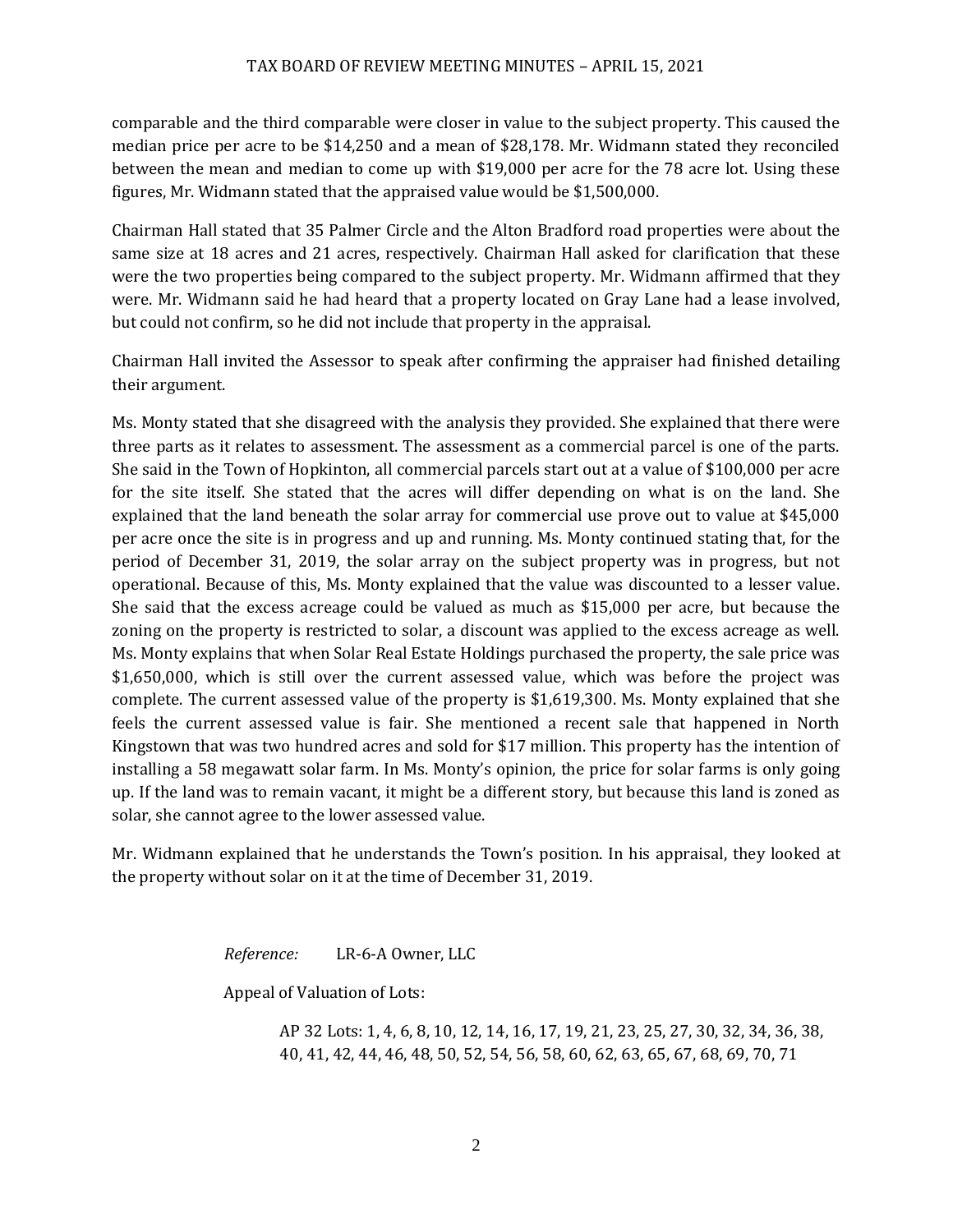comparable and the third comparable were closer in value to the subject property. This caused the median price per acre to be \$14,250 and a mean of \$28,178. Mr. Widmann stated they reconciled between the mean and median to come up with \$19,000 per acre for the 78 acre lot. Using these figures, Mr. Widmann stated that the appraised value would be \$1,500,000.

Chairman Hall stated that 35 Palmer Circle and the Alton Bradford road properties were about the same size at 18 acres and 21 acres, respectively. Chairman Hall asked for clarification that these were the two properties being compared to the subject property. Mr. Widmann affirmed that they were. Mr. Widmann said he had heard that a property located on Gray Lane had a lease involved, but could not confirm, so he did not include that property in the appraisal.

Chairman Hall invited the Assessor to speak after confirming the appraiser had finished detailing their argument.

Ms. Monty stated that she disagreed with the analysis they provided. She explained that there were three parts as it relates to assessment. The assessment as a commercial parcel is one of the parts. She said in the Town of Hopkinton, all commercial parcels start out at a value of \$100,000 per acre for the site itself. She stated that the acres will differ depending on what is on the land. She explained that the land beneath the solar array for commercial use prove out to value at \$45,000 per acre once the site is in progress and up and running. Ms. Monty continued stating that, for the period of December 31, 2019, the solar array on the subject property was in progress, but not operational. Because of this, Ms. Monty explained that the value was discounted to a lesser value. She said that the excess acreage could be valued as much as \$15,000 per acre, but because the zoning on the property is restricted to solar, a discount was applied to the excess acreage as well. Ms. Monty explains that when Solar Real Estate Holdings purchased the property, the sale price was \$1,650,000, which is still over the current assessed value, which was before the project was complete. The current assessed value of the property is \$1,619,300. Ms. Monty explained that she feels the current assessed value is fair. She mentioned a recent sale that happened in North Kingstown that was two hundred acres and sold for \$17 million. This property has the intention of installing a 58 megawatt solar farm. In Ms. Monty's opinion, the price for solar farms is only going up. If the land was to remain vacant, it might be a different story, but because this land is zoned as solar, she cannot agree to the lower assessed value.

Mr. Widmann explained that he understands the Town's position. In his appraisal, they looked at the property without solar on it at the time of December 31, 2019.

*Reference:* LR-6-A Owner, LLC

Appeal of Valuation of Lots:

AP 32 Lots: 1, 4, 6, 8, 10, 12, 14, 16, 17, 19, 21, 23, 25, 27, 30, 32, 34, 36, 38, 40, 41, 42, 44, 46, 48, 50, 52, 54, 56, 58, 60, 62, 63, 65, 67, 68, 69, 70, 71